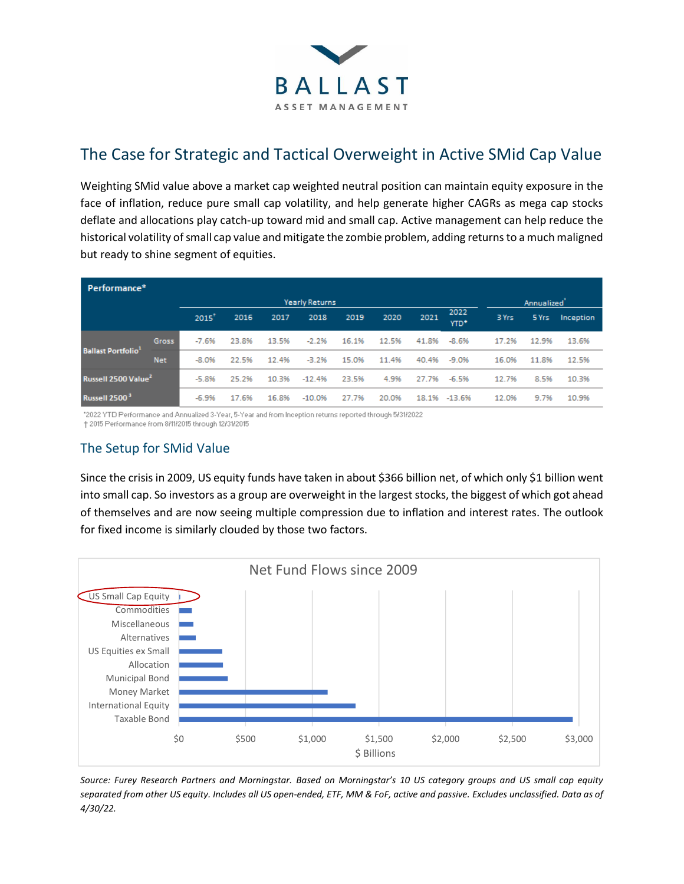

# The Case for Strategic and Tactical Overweight in Active SMid Cap Value

Weighting SMid value above a market cap weighted neutral position can maintain equity exposure in the face of inflation, reduce pure small cap volatility, and help generate higher CAGRs as mega cap stocks deflate and allocations play catch-up toward mid and small cap. Active management can help reduce the historical volatility of small cap value and mitigate the zombie problem, adding returns to a much maligned but ready to shine segment of equities.

| Performance*                         |                       |         |       |       |          |       |                         |       |              |       |       |           |
|--------------------------------------|-----------------------|---------|-------|-------|----------|-------|-------------------------|-------|--------------|-------|-------|-----------|
|                                      | <b>Yearly Returns</b> |         |       |       |          |       | Annualized <sup>'</sup> |       |              |       |       |           |
|                                      |                       | 2015'   | 2016  | 2017  | 2018     | 2019  | 2020                    | 2021  | 2022<br>YTD* | 3 Yrs | 5 Yrs | Inception |
| <b>Ballast Portfolio<sup>1</sup></b> | <b>Gross</b>          | $-7.6%$ | 23.8% | 13.5% | $-2.2%$  | 16.1% | 12.5%                   | 41.8% | $-8.6%$      | 17.2% | 12.9% | 13.6%     |
|                                      | <b>Net</b>            | $-8.0%$ | 22.5% | 12.4% | $-3.2%$  | 15.0% | 11.4%                   | 40.4% | $-9.0%$      | 16.0% | 11.8% | 12.5%     |
| Russell 2500 Value <sup>2</sup>      |                       | $-5.8%$ | 25.2% | 10.3% | $-12.4%$ | 23.5% | 4.9%                    | 27.7% | $-6.5%$      | 12.7% | 8.5%  | 10.3%     |
| Russell 2500 <sup>3</sup>            |                       | $-6.9%$ | 17.6% | 16.8% | $-10.0%$ | 27.7% | 20.0%                   | 18.1% | $-13.6%$     | 12.0% | 9.7%  | 10.9%     |

\*2022 YTD Performance and Annualized 3-Year, 5-Year and from Inception returns reported through 5/31/2022 † 2015 Performance from 8/11/2015 through 12/31/2015

## The Setup for SMid Value

Since the crisis in 2009, US equity funds have taken in about \$366 billion net, of which only \$1 billion went into small cap. So investors as a group are overweight in the largest stocks, the biggest of which got ahead of themselves and are now seeing multiple compression due to inflation and interest rates. The outlook for fixed income is similarly clouded by those two factors.



*Source: Furey Research Partners and Morningstar. Based on Morningstar's 10 US category groups and US small cap equity separated from other US equity. Includes all US open-ended, ETF, MM & FoF, active and passive. Excludes unclassified. Data as of 4/30/22.*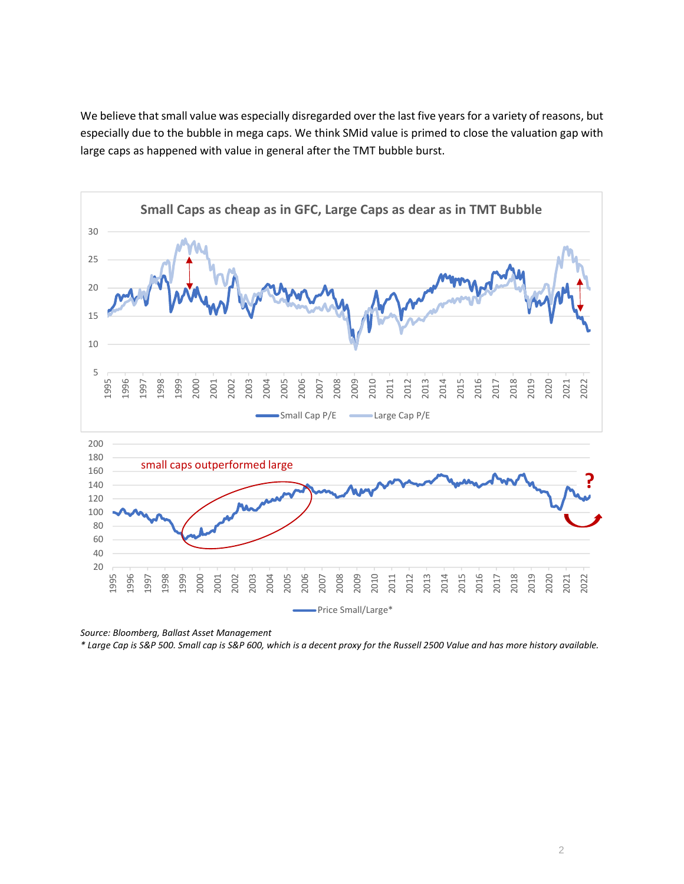We believe that small value was especially disregarded over the last five years for a variety of reasons, but especially due to the bubble in mega caps. We think SMid value is primed to close the valuation gap with large caps as happened with value in general after the TMT bubble burst.



*Source: Bloomberg, Ballast Asset Management*

*\* Large Cap is S&P 500. Small cap is S&P 600, which is a decent proxy for the Russell 2500 Value and has more history available.*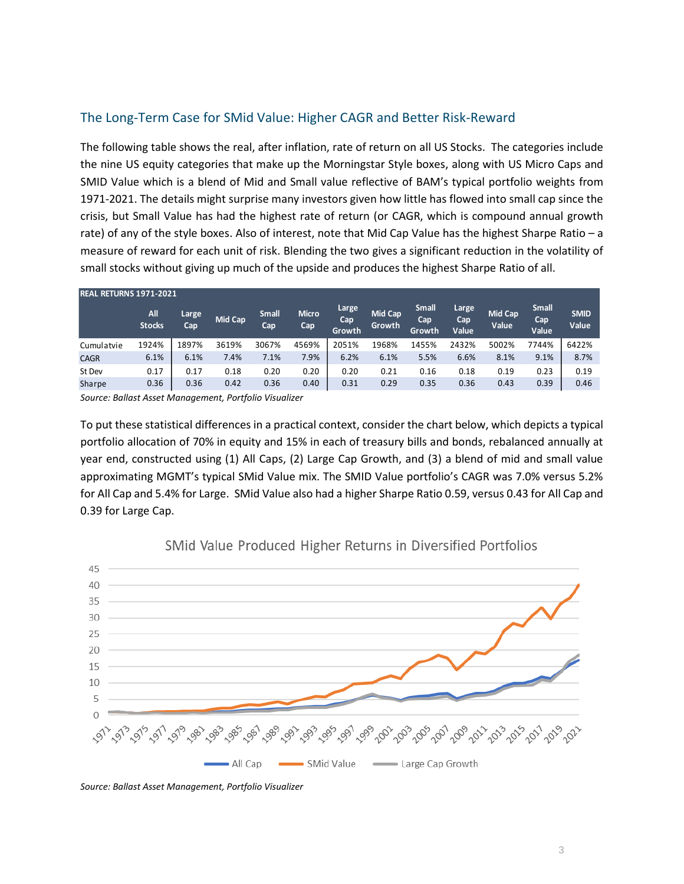### The Long-Term Case for SMid Value: Higher CAGR and Better Risk-Reward

The following table shows the real, after inflation, rate of return on all US Stocks. The categories include the nine US equity categories that make up the Morningstar Style boxes, along with US Micro Caps and SMID Value which is a blend of Mid and Small value reflective of BAM's typical portfolio weights from 1971-2021. The details might surprise many investors given how little has flowed into small cap since the crisis, but Small Value has had the highest rate of return (or CAGR, which is compound annual growth rate) of any of the style boxes. Also of interest, note that Mid Cap Value has the highest Sharpe Ratio – a measure of reward for each unit of risk. Blending the two gives a significant reduction in the volatility of small stocks without giving up much of the upside and produces the highest Sharpe Ratio of all.

| <b>REAL RETURNS 1971-2021</b> |                      |              |         |                     |                     |                        |                          |                               |                       |                         |                              |                      |
|-------------------------------|----------------------|--------------|---------|---------------------|---------------------|------------------------|--------------------------|-------------------------------|-----------------------|-------------------------|------------------------------|----------------------|
|                               | All<br><b>Stocks</b> | Large<br>Cap | Mid Cap | <b>Small</b><br>Cap | <b>Micro</b><br>Cap | Large<br>Cap<br>Growth | <b>Mid Cap</b><br>Growth | <b>Small</b><br>Cap<br>Growth | Large<br>Cap<br>Value | <b>Mid Cap</b><br>Value | <b>Small</b><br>Cap<br>Value | <b>SMID</b><br>Value |
| Cumulatvie                    | 1924%                | 1897%        | 3619%   | 3067%               | 4569%               | 2051%                  | 1968%                    | 1455%                         | 2432%                 | 5002%                   | 7744%                        | 6422%                |
| <b>CAGR</b>                   | 6.1%                 | 6.1%         | 7.4%    | 7.1%                | 7.9%                | 6.2%                   | 6.1%                     | 5.5%                          | 6.6%                  | 8.1%                    | 9.1%                         | 8.7%                 |
| St Dev                        | 0.17                 | 0.17         | 0.18    | 0.20                | 0.20                | 0.20                   | 0.21                     | 0.16                          | 0.18                  | 0.19                    | 0.23                         | 0.19                 |
| Sharpe                        | 0.36                 | 0.36         | 0.42    | 0.36                | 0.40                | 0.31                   | 0.29                     | 0.35                          | 0.36                  | 0.43                    | 0.39                         | 0.46                 |

*Source: Ballast Asset Management, Portfolio Visualizer*

To put these statistical differences in a practical context, consider the chart below, which depicts a typical portfolio allocation of 70% in equity and 15% in each of treasury bills and bonds, rebalanced annually at year end, constructed using (1) All Caps, (2) Large Cap Growth, and (3) a blend of mid and small value approximating MGMT's typical SMid Value mix. The SMID Value portfolio's CAGR was 7.0% versus 5.2% for All Cap and 5.4% for Large. SMid Value also had a higher Sharpe Ratio 0.59, versus 0.43 for All Cap and 0.39 for Large Cap.



#### SMid Value Produced Higher Returns in Diversified Portfolios

*Source: Ballast Asset Management, Portfolio Visualizer*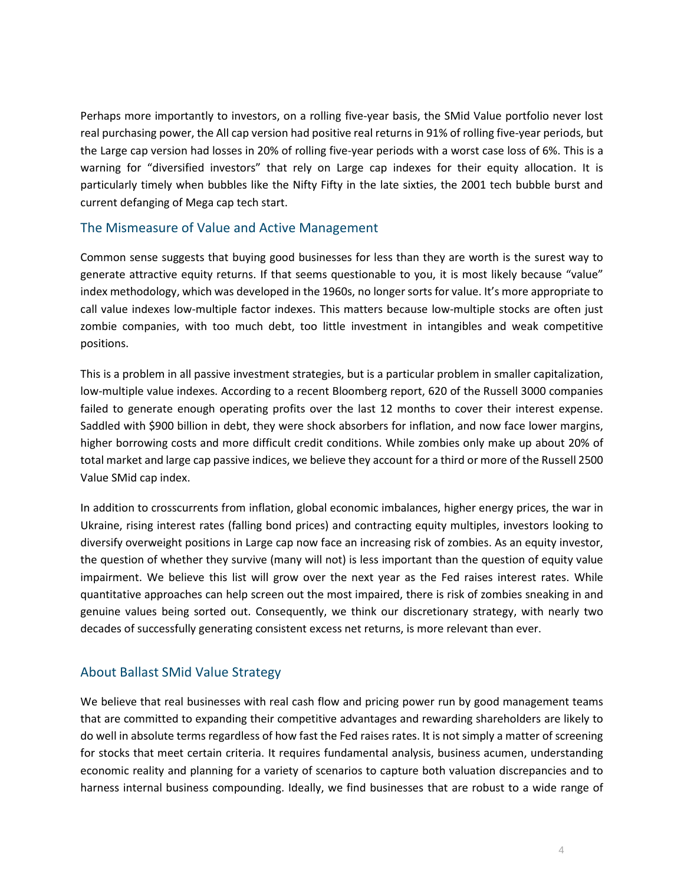Perhaps more importantly to investors, on a rolling five-year basis, the SMid Value portfolio never lost real purchasing power, the All cap version had positive real returns in 91% of rolling five-year periods, but the Large cap version had losses in 20% of rolling five-year periods with a worst case loss of 6%. This is a warning for "diversified investors" that rely on Large cap indexes for their equity allocation. It is particularly timely when bubbles like the Nifty Fifty in the late sixties, the 2001 tech bubble burst and current defanging of Mega cap tech start.

#### The Mismeasure of Value and Active Management

Common sense suggests that buying good businesses for less than they are worth is the surest way to generate attractive equity returns. If that seems questionable to you, it is most likely because "value" index methodology, which was developed in the 1960s, no longer sorts for value. It's more appropriate to call value indexes low-multiple factor indexes. This matters because low-multiple stocks are often just zombie companies, with too much debt, too little investment in intangibles and weak competitive positions.

This is a problem in all passive investment strategies, but is a particular problem in smaller capitalization, low-multiple value indexes. According to a recent Bloomberg report, 620 of the Russell 3000 companies failed to generate enough operating profits over the last 12 months to cover their interest expense. Saddled with \$900 billion in debt, they were shock absorbers for inflation, and now face lower margins, higher borrowing costs and more difficult credit conditions. While zombies only make up about 20% of total market and large cap passive indices, we believe they account for a third or more of the Russell 2500 Value SMid cap index.

In addition to crosscurrents from inflation, global economic imbalances, higher energy prices, the war in Ukraine, rising interest rates (falling bond prices) and contracting equity multiples, investors looking to diversify overweight positions in Large cap now face an increasing risk of zombies. As an equity investor, the question of whether they survive (many will not) is less important than the question of equity value impairment. We believe this list will grow over the next year as the Fed raises interest rates. While quantitative approaches can help screen out the most impaired, there is risk of zombies sneaking in and genuine values being sorted out. Consequently, we think our discretionary strategy, with nearly two decades of successfully generating consistent excess net returns, is more relevant than ever.

#### About Ballast SMid Value Strategy

We believe that real businesses with real cash flow and pricing power run by good management teams that are committed to expanding their competitive advantages and rewarding shareholders are likely to do well in absolute terms regardless of how fast the Fed raises rates. It is not simply a matter of screening for stocks that meet certain criteria. It requires fundamental analysis, business acumen, understanding economic reality and planning for a variety of scenarios to capture both valuation discrepancies and to harness internal business compounding. Ideally, we find businesses that are robust to a wide range of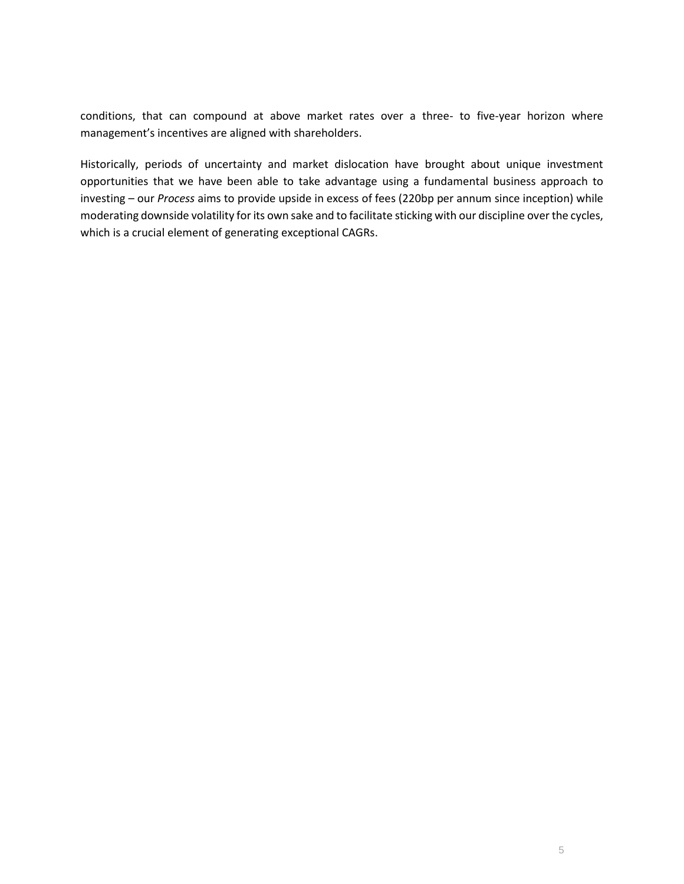conditions, that can compound at above market rates over a three- to five-year horizon where management's incentives are aligned with shareholders.

Historically, periods of uncertainty and market dislocation have brought about unique investment opportunities that we have been able to take advantage using a fundamental business approach to investing – our *Process* aims to provide upside in excess of fees (220bp per annum since inception) while moderating downside volatility for its own sake and to facilitate sticking with our discipline over the cycles, which is a crucial element of generating exceptional CAGRs.